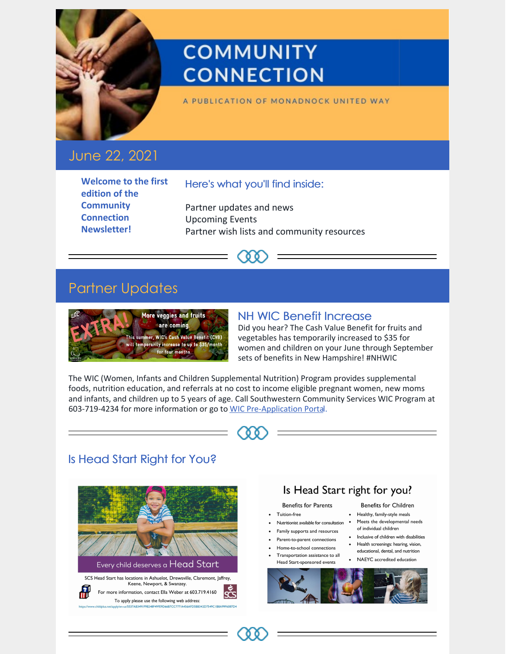

# **COMMUNITY CONNECTION**

A PUBLICATION OF MONADNOCK UNITED WAY

## June 22, 2021

**Welcome to the first edition of the Community Connection Newsletter!**

### Here's what you'll find inside:

Partner updates and news Upcoming Events Partner wish lists and community resources



## Partner Updates



### NH WIC Benefit Increase

Did you hear? The Cash Value Benefit for fruits and vegetables has temporarily increased to \$35 for women and children on your June through September sets of benefits in New Hampshire! #NHWIC

The WIC (Women, Infants and Children Supplemental Nutrition) Program provides supplemental foods, nutrition education, and referrals at no cost to income eligible pregnant women, new moms and infants, and children up to 5 years of age. Call Southwestern Community Services WIC Program at 603-719-4234 for more information or go to WIC [Pre-Application](https://nhwic.com/) Portal.



## Is Head Start Right for You?



To apply please use the following web address:

### Is Head Start right for you?

**Benefits for Parents** 

- Tuition-free
- Nutritionist available for consultation
- Family supports and resources
- Parent-to-parent connections
- Home-to-school connections Transportation assistance to all
- Head Start-sponsored events



Benefits for Children Healthy, family-style meals

- Meets the developmental needs  $\bullet$ of individual children
- Inclusive of children with disabilities
- Health screenings: hearing, vision, educational, dental, and nutrition
- NAEYC accredited education

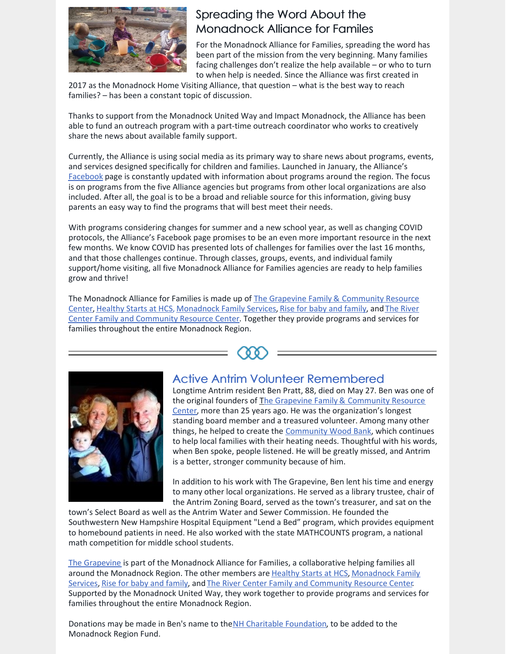

### Spreading the Word About the Monadnock Alliance for Familes

For the Monadnock Alliance for Families, spreading the word has been part of the mission from the very beginning. Many families facing challenges don't realize the help available – or who to turn to when help is needed. Since the Alliance was first created in

2017 as the Monadnock Home Visiting Alliance, that question – what is the best way to reach families? – has been a constant topic of discussion.

Thanks to support from the Monadnock United Way and Impact Monadnock, the Alliance has been able to fund an outreach program with a part-time outreach coordinator who works to creatively share the news about available family support.

Currently, the Alliance is using social media as its primary way to share news about programs, events, and services designed specifically for children and families. Launched in January, the Alliance's [Facebook](http://www.facebook.com/MonadnockAllianceFamilies) page is constantly updated with information about programs around the region. The focus is on programs from the five Alliance agencies but programs from other local organizations are also included. After all, the goal is to be a broad and reliable source for this information, giving busy parents an easy way to find the programs that will best meet their needs.

With programs considering changes for summer and a new school year, as well as changing COVID protocols, the Alliance's Facebook page promises to be an even more important resource in the next few months. We know COVID has presented lots of challenges for families over the last 16 months, and that those challenges continue. Through classes, groups, events, and individual family support/home visiting, all five Monadnock Alliance for Families agencies are ready to help families grow and thrive!

The [Monadnock](https://grapevinenh.org/) Alliance for Families is made up of The Grapevine Family & Community Resource Center, [Healthy](https://www.hcsservices.org/services/healthy-starts/) Starts at HCS, [Monadnock](https://www.mfs.org/) Family Services, Rise for baby and [family](https://www.riseforbabyandfamily.org/), and The River Center Family and Community Resource Center. Together they provide programs and services for families throughout the entire Monadnock Region.





### Active Antrim Volunteer Remembered

Longtime Antrim resident Ben Pratt, 88, died on May 27. Ben was one of the original founders of [T](https://grapevinenh.org/)he Grapevine Family & Community Resource Center, more than 25 years ago. He was the [organization's](https://grapevinenh.org/) longest standing board member and a treasured volunteer. Among many other things, he helped to create the [Community](https://grapevinenh.org/community-wood-bank/) Wood Bank, which continues to help local families with their heating needs. Thoughtful with his words, when Ben spoke, people listened. He will be greatly missed, and Antrim is a better, stronger community because of him.

In addition to his work with The Grapevine, Ben lent his time and energy to many other local organizations. He served as a library trustee, chair of the Antrim Zoning Board, served as the town's treasurer, and sat on the

town's Select Board as well as the Antrim Water and Sewer Commission. He founded the Southwestern New Hampshire Hospital Equipment "Lend a Bed" program, which provides equipment to homebound patients in need. He also worked with the state MATHCOUNTS program, a national math competition for middle school students.

The [Grapevine](https://grapevinenh.org/) is part of the Monadnock Alliance for Families, a collaborative helping families all around the [Monadnock](https://www.mfs.org/) Region. The other members are [Healthy](https://www.hcsservices.org/services/healthy-starts/) Starts at HCS, Monadnock Family Services, Rise for baby and [family](https://www.riseforbabyandfamily.org/), and The River Center Family and [Community](https://rivercenter.us/) Resource Center. Supported by the Monadnock United Way, they work together to provide programs and services for families throughout the entire Monadnock Region.

Donations may be made in Ben's name to theNH Charitable [Foundation](https://www.nhcf.org/), to be added to the Monadnock Region Fund.